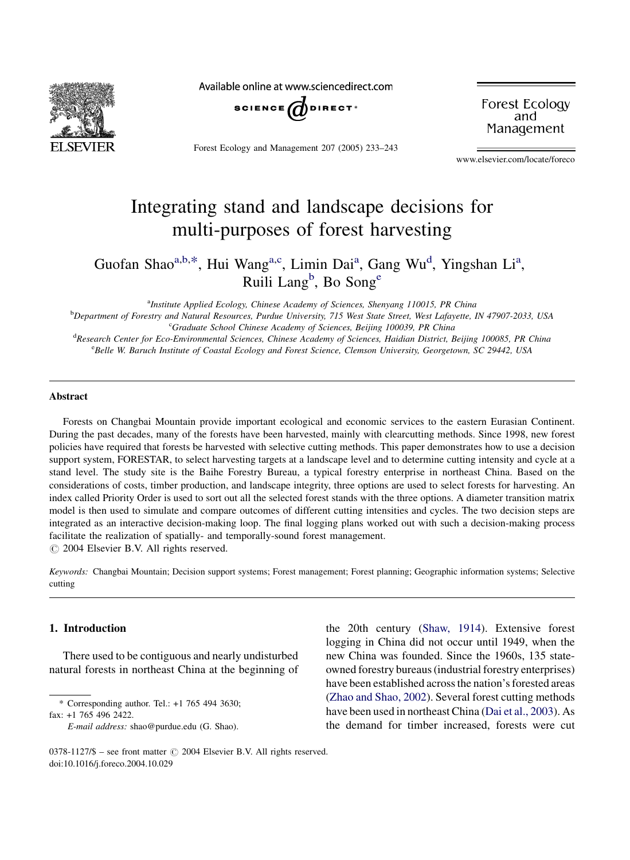

Available online at www.sciencedirect.com



Forest Ecology and Management 207 (2005) 233–243

Forest Ecology and Management

www.elsevier.com/locate/foreco

# Integrating stand and landscape decisions for multi-purposes of forest harvesting

Guofan Shao<sup>a,b,\*</sup>, Hui Wang<sup>a,c</sup>, Limin Dai<sup>a</sup>, Gang Wu<sup>d</sup>, Yingshan Li<sup>a</sup>, Ruili Lang<sup>b</sup>, Bo Song<sup>e</sup>

<sup>a</sup>Institute Applied Ecology, Chinese Academy of Sciences, Shenyang 110015, PR China

b Department of Forestry and Natural Resources, Purdue University, 715 West State Street, West Lafayette, IN 47907-2033, USA <sup>c</sup>Graduate School Chinese Academy of Sciences, Beijing 100039, PR China

d Research Center for Eco-Environmental Sciences, Chinese Academy of Sciences, Haidian District, Beijing 100085, PR China eBelle W. Baruch Institute of Coastal Ecology and Forest Science, Clemson University, Georgetown, SC 29442, USA

## Abstract

Forests on Changbai Mountain provide important ecological and economic services to the eastern Eurasian Continent. During the past decades, many of the forests have been harvested, mainly with clearcutting methods. Since 1998, new forest policies have required that forests be harvested with selective cutting methods. This paper demonstrates how to use a decision support system, FORESTAR, to select harvesting targets at a landscape level and to determine cutting intensity and cycle at a stand level. The study site is the Baihe Forestry Bureau, a typical forestry enterprise in northeast China. Based on the considerations of costs, timber production, and landscape integrity, three options are used to select forests for harvesting. An index called Priority Order is used to sort out all the selected forest stands with the three options. A diameter transition matrix model is then used to simulate and compare outcomes of different cutting intensities and cycles. The two decision steps are integrated as an interactive decision-making loop. The final logging plans worked out with such a decision-making process facilitate the realization of spatially- and temporally-sound forest management.  $\odot$  2004 Elsevier B.V. All rights reserved.

Keywords: Changbai Mountain; Decision support systems; Forest management; Forest planning; Geographic information systems; Selective cutting

## 1. Introduction

There used to be contiguous and nearly undisturbed natural forests in northeast China at the beginning of

\* Corresponding author. Tel.: +1 765 494 3630;

fax: +1 765 496 2422.

the 20th century [\(Shaw, 1914\)](#page-10-0). Extensive forest logging in China did not occur until 1949, when the new China was founded. Since the 1960s, 135 stateowned forestry bureaus (industrial forestry enterprises) have been established across the nation's forested areas ([Zhao and Shao, 2002\)](#page-10-0). Several forest cutting methods have been used in northeast China [\(Dai et al., 2003](#page-10-0)). As the demand for timber increased, forests were cut

E-mail address: shao@purdue.edu (G. Shao).

<sup>0378-1127/\$ –</sup> see front matter © 2004 Elsevier B.V. All rights reserved. doi:10.1016/j.foreco.2004.10.029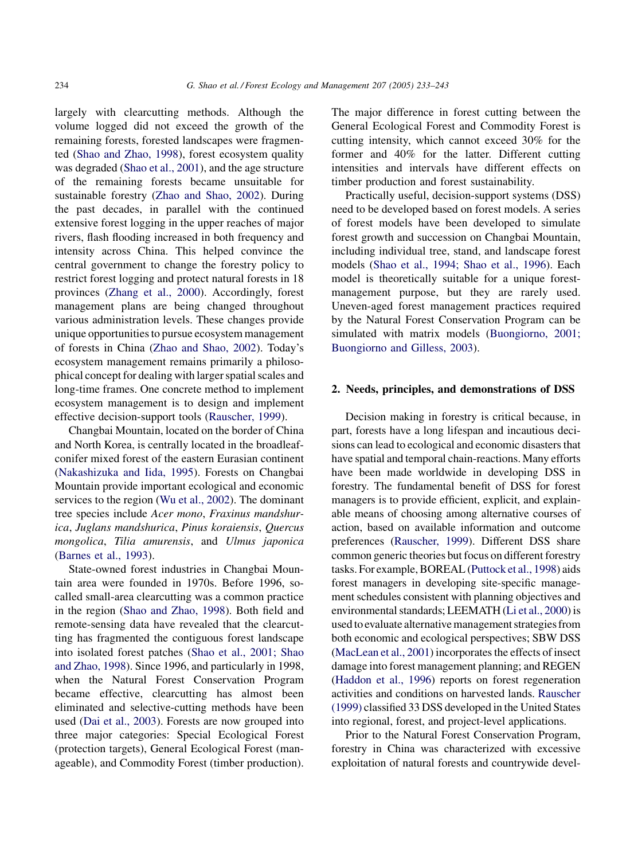largely with clearcutting methods. Although the volume logged did not exceed the growth of the remaining forests, forested landscapes were fragmented [\(Shao and Zhao, 1998](#page-10-0)), forest ecosystem quality was degraded [\(Shao et al., 2001\)](#page-10-0), and the age structure of the remaining forests became unsuitable for sustainable forestry ([Zhao and Shao, 2002](#page-10-0)). During the past decades, in parallel with the continued extensive forest logging in the upper reaches of major rivers, flash flooding increased in both frequency and intensity across China. This helped convince the central government to change the forestry policy to restrict forest logging and protect natural forests in 18 provinces [\(Zhang et al., 2000\)](#page-10-0). Accordingly, forest management plans are being changed throughout various administration levels. These changes provide unique opportunities to pursue ecosystem management of forests in China [\(Zhao and Shao, 2002](#page-10-0)). Today's ecosystem management remains primarily a philosophical concept for dealing with larger spatial scales and long-time frames. One concrete method to implement ecosystem management is to design and implement effective decision-support tools [\(Rauscher, 1999\)](#page-10-0).

Changbai Mountain, located on the border of China and North Korea, is centrally located in the broadleafconifer mixed forest of the eastern Eurasian continent ([Nakashizuka and Iida, 1995](#page-10-0)). Forests on Changbai Mountain provide important ecological and economic services to the region ([Wu et al., 2002\)](#page-10-0). The dominant tree species include Acer mono, Fraxinus mandshurica, Juglans mandshurica, Pinus koraiensis, Quercus mongolica, Tilia amurensis, and Ulmus japonica ([Barnes et al., 1993](#page-10-0)).

State-owned forest industries in Changbai Mountain area were founded in 1970s. Before 1996, socalled small-area clearcutting was a common practice in the region ([Shao and Zhao, 1998\)](#page-10-0). Both field and remote-sensing data have revealed that the clearcutting has fragmented the contiguous forest landscape into isolated forest patches [\(Shao et al., 2001; Shao](#page-10-0) [and Zhao, 1998\)](#page-10-0). Since 1996, and particularly in 1998, when the Natural Forest Conservation Program became effective, clearcutting has almost been eliminated and selective-cutting methods have been used [\(Dai et al., 2003](#page-10-0)). Forests are now grouped into three major categories: Special Ecological Forest (protection targets), General Ecological Forest (manageable), and Commodity Forest (timber production). The major difference in forest cutting between the General Ecological Forest and Commodity Forest is cutting intensity, which cannot exceed 30% for the former and 40% for the latter. Different cutting intensities and intervals have different effects on timber production and forest sustainability.

Practically useful, decision-support systems (DSS) need to be developed based on forest models. A series of forest models have been developed to simulate forest growth and succession on Changbai Mountain, including individual tree, stand, and landscape forest models ([Shao et al., 1994; Shao et al., 1996\)](#page-10-0). Each model is theoretically suitable for a unique forestmanagement purpose, but they are rarely used. Uneven-aged forest management practices required by the Natural Forest Conservation Program can be simulated with matrix models [\(Buongiorno, 2001;](#page-10-0) [Buongiorno and Gilless, 2003\)](#page-10-0).

#### 2. Needs, principles, and demonstrations of DSS

Decision making in forestry is critical because, in part, forests have a long lifespan and incautious decisions can lead to ecological and economic disasters that have spatial and temporal chain-reactions. Many efforts have been made worldwide in developing DSS in forestry. The fundamental benefit of DSS for forest managers is to provide efficient, explicit, and explainable means of choosing among alternative courses of action, based on available information and outcome preferences ([Rauscher, 1999\)](#page-10-0). Different DSS share common generic theories but focus on different forestry tasks. For example, BOREAL [\(Puttock et al., 1998\)](#page-10-0) aids forest managers in developing site-specific management schedules consistent with planning objectives and environmental standards; LEEMATH ([Li et al., 2000](#page-10-0)) is used to evaluate alternative management strategies from both economic and ecological perspectives; SBW DSS ([MacLean et al., 2001](#page-10-0)) incorporates the effects of insect damage into forest management planning; and REGEN ([Haddon et al., 1996\)](#page-10-0) reports on forest regeneration activities and conditions on harvested lands. [Rauscher](#page-10-0) [\(1999\)](#page-10-0) classified 33 DSS developed in the United States into regional, forest, and project-level applications.

Prior to the Natural Forest Conservation Program, forestry in China was characterized with excessive exploitation of natural forests and countrywide devel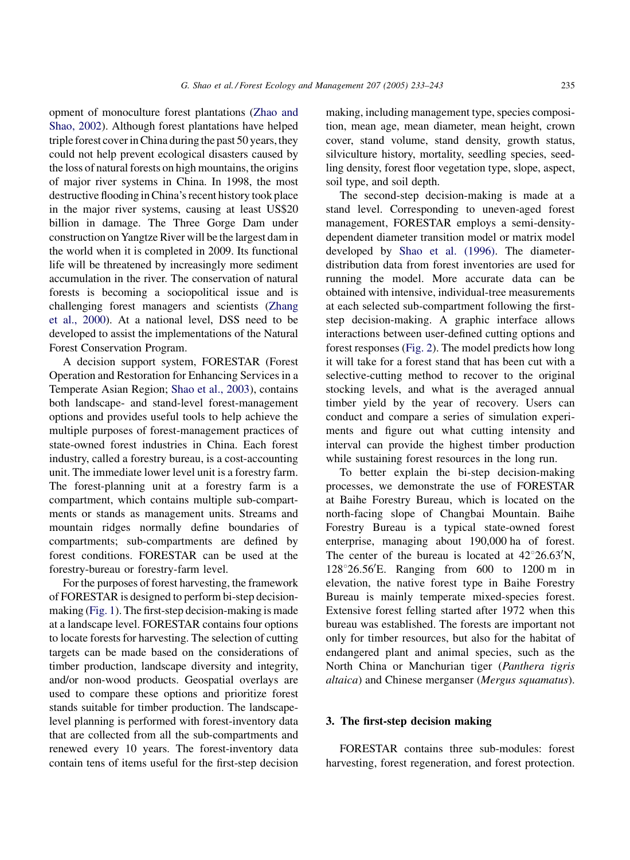opment of monoculture forest plantations [\(Zhao and](#page-10-0) [Shao, 2002\)](#page-10-0). Although forest plantations have helped triple forest cover in China during the past 50 years, they could not help prevent ecological disasters caused by the loss of natural forests on high mountains, the origins of major river systems in China. In 1998, the most destructive flooding in China's recent history took place in the major river systems, causing at least US\$20 billion in damage. The Three Gorge Dam under construction on Yangtze River will be the largest dam in the world when it is completed in 2009. Its functional life will be threatened by increasingly more sediment accumulation in the river. The conservation of natural forests is becoming a sociopolitical issue and is challenging forest managers and scientists [\(Zhang](#page-10-0) [et al., 2000](#page-10-0)). At a national level, DSS need to be developed to assist the implementations of the Natural Forest Conservation Program.

A decision support system, FORESTAR (Forest Operation and Restoration for Enhancing Services in a Temperate Asian Region; [Shao et al., 2003\)](#page-10-0), contains both landscape- and stand-level forest-management options and provides useful tools to help achieve the multiple purposes of forest-management practices of state-owned forest industries in China. Each forest industry, called a forestry bureau, is a cost-accounting unit. The immediate lower level unit is a forestry farm. The forest-planning unit at a forestry farm is a compartment, which contains multiple sub-compartments or stands as management units. Streams and mountain ridges normally define boundaries of compartments; sub-compartments are defined by forest conditions. FORESTAR can be used at the forestry-bureau or forestry-farm level.

For the purposes of forest harvesting, the framework of FORESTAR is designed to perform bi-step decisionmaking [\(Fig. 1](#page-3-0)). The first-step decision-making is made at a landscape level. FORESTAR contains four options to locate forests for harvesting. The selection of cutting targets can be made based on the considerations of timber production, landscape diversity and integrity, and/or non-wood products. Geospatial overlays are used to compare these options and prioritize forest stands suitable for timber production. The landscapelevel planning is performed with forest-inventory data that are collected from all the sub-compartments and renewed every 10 years. The forest-inventory data contain tens of items useful for the first-step decision making, including management type, species composition, mean age, mean diameter, mean height, crown cover, stand volume, stand density, growth status, silviculture history, mortality, seedling species, seedling density, forest floor vegetation type, slope, aspect, soil type, and soil depth.

The second-step decision-making is made at a stand level. Corresponding to uneven-aged forest management, FORESTAR employs a semi-densitydependent diameter transition model or matrix model developed by [Shao et al. \(1996\).](#page-10-0) The diameterdistribution data from forest inventories are used for running the model. More accurate data can be obtained with intensive, individual-tree measurements at each selected sub-compartment following the firststep decision-making. A graphic interface allows interactions between user-defined cutting options and forest responses ([Fig. 2\)](#page-4-0). The model predicts how long it will take for a forest stand that has been cut with a selective-cutting method to recover to the original stocking levels, and what is the averaged annual timber yield by the year of recovery. Users can conduct and compare a series of simulation experiments and figure out what cutting intensity and interval can provide the highest timber production while sustaining forest resources in the long run.

To better explain the bi-step decision-making processes, we demonstrate the use of FORESTAR at Baihe Forestry Bureau, which is located on the north-facing slope of Changbai Mountain. Baihe Forestry Bureau is a typical state-owned forest enterprise, managing about 190,000 ha of forest. The center of the bureau is located at  $42^{\circ}26.63'N$ , 128°26.56'E. Ranging from 600 to 1200 m in elevation, the native forest type in Baihe Forestry Bureau is mainly temperate mixed-species forest. Extensive forest felling started after 1972 when this bureau was established. The forests are important not only for timber resources, but also for the habitat of endangered plant and animal species, such as the North China or Manchurian tiger (Panthera tigris altaica) and Chinese merganser (Mergus squamatus).

## 3. The first-step decision making

FORESTAR contains three sub-modules: forest harvesting, forest regeneration, and forest protection.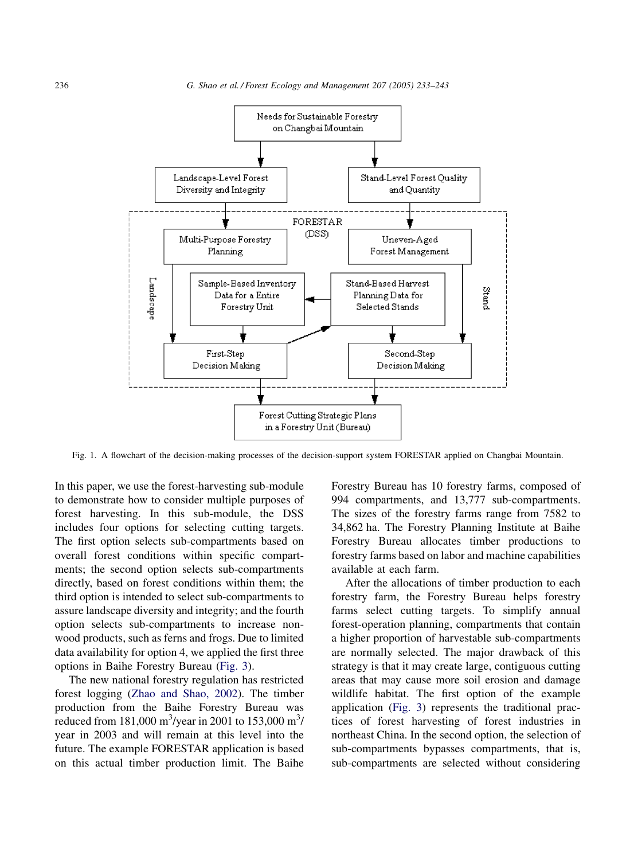<span id="page-3-0"></span>

Fig. 1. A flowchart of the decision-making processes of the decision-support system FORESTAR applied on Changbai Mountain.

In this paper, we use the forest-harvesting sub-module to demonstrate how to consider multiple purposes of forest harvesting. In this sub-module, the DSS includes four options for selecting cutting targets. The first option selects sub-compartments based on overall forest conditions within specific compartments; the second option selects sub-compartments directly, based on forest conditions within them; the third option is intended to select sub-compartments to assure landscape diversity and integrity; and the fourth option selects sub-compartments to increase nonwood products, such as ferns and frogs. Due to limited data availability for option 4, we applied the first three options in Baihe Forestry Bureau [\(Fig. 3](#page-5-0)).

The new national forestry regulation has restricted forest logging ([Zhao and Shao, 2002](#page-10-0)). The timber production from the Baihe Forestry Bureau was reduced from 181,000 m<sup>3</sup>/year in 2001 to 153,000 m<sup>3</sup>/ year in 2003 and will remain at this level into the future. The example FORESTAR application is based on this actual timber production limit. The Baihe Forestry Bureau has 10 forestry farms, composed of 994 compartments, and 13,777 sub-compartments. The sizes of the forestry farms range from 7582 to 34,862 ha. The Forestry Planning Institute at Baihe Forestry Bureau allocates timber productions to forestry farms based on labor and machine capabilities available at each farm.

After the allocations of timber production to each forestry farm, the Forestry Bureau helps forestry farms select cutting targets. To simplify annual forest-operation planning, compartments that contain a higher proportion of harvestable sub-compartments are normally selected. The major drawback of this strategy is that it may create large, contiguous cutting areas that may cause more soil erosion and damage wildlife habitat. The first option of the example application [\(Fig. 3\)](#page-5-0) represents the traditional practices of forest harvesting of forest industries in northeast China. In the second option, the selection of sub-compartments bypasses compartments, that is, sub-compartments are selected without considering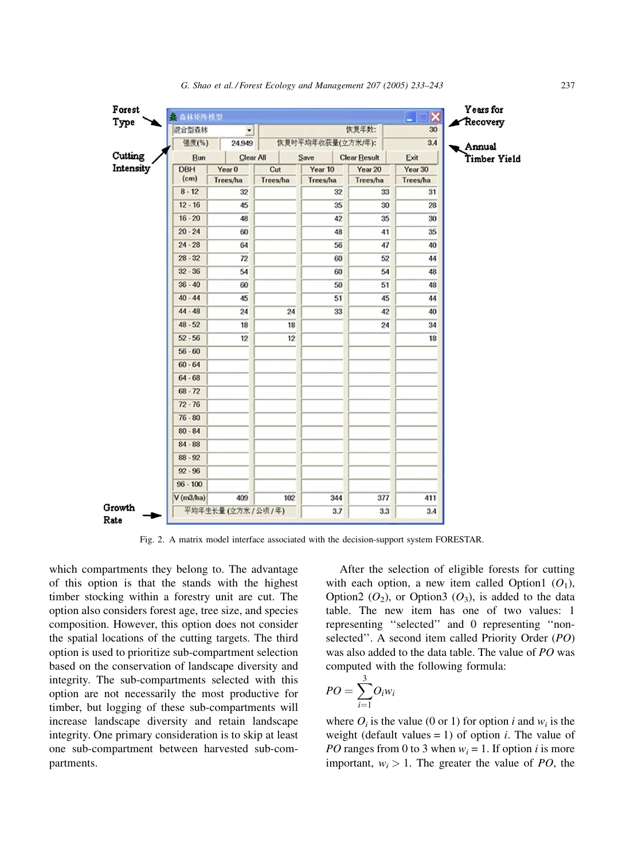<span id="page-4-0"></span>

| Cutting   |                                   |                              |                   |          |                     | 30            | Recovery     |
|-----------|-----------------------------------|------------------------------|-------------------|----------|---------------------|---------------|--------------|
|           | 混合型森林<br>$\overline{\phantom{a}}$ |                              |                   | 恢复年数:    |                     |               |              |
|           | 强度(%)<br>24.949                   |                              | 恢复时平均年收获量(立方米/年): |          |                     | 3.4<br>Annual |              |
|           | <b>Bun</b>                        | Clear All                    |                   | Save     | <b>Clear Result</b> | Exit          | Timber Yield |
| Intensity | <b>DBH</b>                        | Year <sub>0</sub>            | Cut               | Year 10  | Year 20             | Year 30       |              |
|           | (cm)                              | Trees/ha                     | Trees/ha          | Trees/ha | Trees/ha            | Trees/ha      |              |
|           | $8 - 12$                          | 32                           |                   | 32       | 33                  | 31            |              |
|           | $12 - 16$                         | 45                           |                   | 35       | 30                  | 28            |              |
|           | $16 - 20$                         | 48                           |                   | 42       | 35                  | 30            |              |
|           | $20 - 24$                         | 60                           |                   | 48       | 41                  | 35            |              |
|           | $24 - 28$                         | 64                           |                   | 56       | 47                  | 40            |              |
|           | $28 - 32$                         | 72                           |                   | 60       | 52                  | 44            |              |
|           | $32 - 36$                         | 54                           |                   | 60       | 54                  | 48            |              |
|           | $36 - 40$                         | 60                           |                   | 50       | 51                  | 48            |              |
|           | $40 - 44$                         | 45                           |                   | 51       | 45                  | 44            |              |
|           | $44 - 48$                         | 24                           | 24                | 33       | 42                  | 40            |              |
|           | $48 - 52$                         | 18                           | 18                |          | 24                  | 34            |              |
|           | $52 - 56$                         | 12                           | 12                |          |                     | 18            |              |
|           | $56 - 60$                         |                              |                   |          |                     |               |              |
|           | $60 - 64$                         |                              |                   |          |                     |               |              |
|           | $64 - 68$                         |                              |                   |          |                     |               |              |
|           | $68 - 72$                         |                              |                   |          |                     |               |              |
|           | $72 - 76$                         |                              |                   |          |                     |               |              |
|           | $76 - 80$                         |                              |                   |          |                     |               |              |
|           | $80 - 84$                         |                              |                   |          |                     |               |              |
|           | $84 - 88$                         |                              |                   |          |                     |               |              |
|           | $88 - 92$                         |                              |                   |          |                     |               |              |
|           |                                   |                              |                   |          |                     |               |              |
|           | $92 - 96$                         |                              |                   |          |                     |               |              |
|           | $96 - 100$                        |                              |                   |          |                     |               |              |
| Growth    | V(m3/ha)                          | 409<br>平均年生长量 (立方米 / 公顷 / 年) | 102               | 344      | 377                 | 411           |              |

Fig. 2. A matrix model interface associated with the decision-support system FORESTAR.

which compartments they belong to. The advantage of this option is that the stands with the highest timber stocking within a forestry unit are cut. The option also considers forest age, tree size, and species composition. However, this option does not consider the spatial locations of the cutting targets. The third option is used to prioritize sub-compartment selection based on the conservation of landscape diversity and integrity. The sub-compartments selected with this option are not necessarily the most productive for timber, but logging of these sub-compartments will increase landscape diversity and retain landscape integrity. One primary consideration is to skip at least one sub-compartment between harvested sub-compartments.

After the selection of eligible forests for cutting with each option, a new item called Option1  $(O_1)$ , Option2  $(O_2)$ , or Option3  $(O_3)$ , is added to the data table. The new item has one of two values: 1 representing ''selected'' and 0 representing ''nonselected''. A second item called Priority Order (PO) was also added to the data table. The value of PO was computed with the following formula:

$$
PO = \sum_{i=1}^{3} O_i w_i
$$

where  $O_i$  is the value (0 or 1) for option i and  $w_i$  is the weight (default values  $= 1$ ) of option *i*. The value of *PO* ranges from 0 to 3 when  $w_i = 1$ . If option *i* is more important,  $w_i > 1$ . The greater the value of PO, the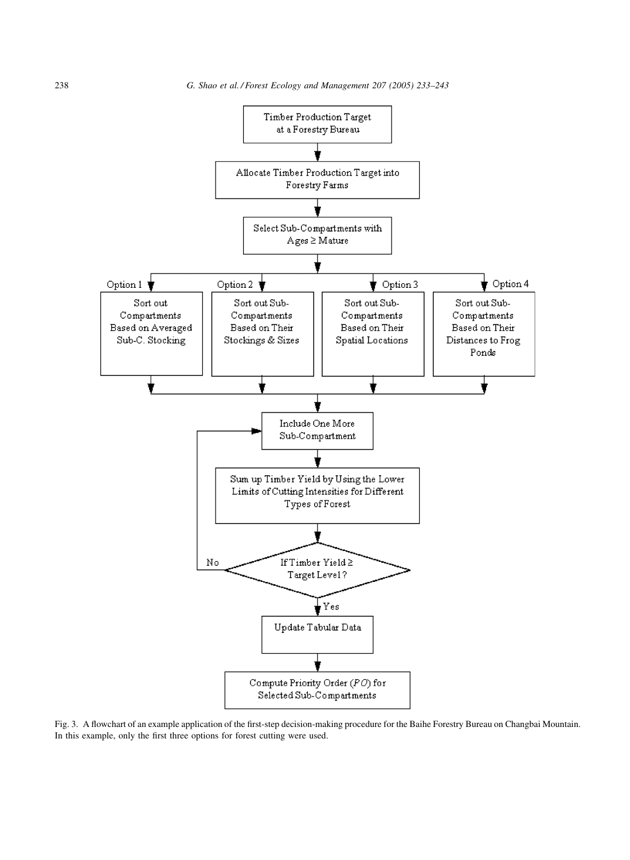<span id="page-5-0"></span>

Fig. 3. A flowchart of an example application of the first-step decision-making procedure for the Baihe Forestry Bureau on Changbai Mountain. In this example, only the first three options for forest cutting were used.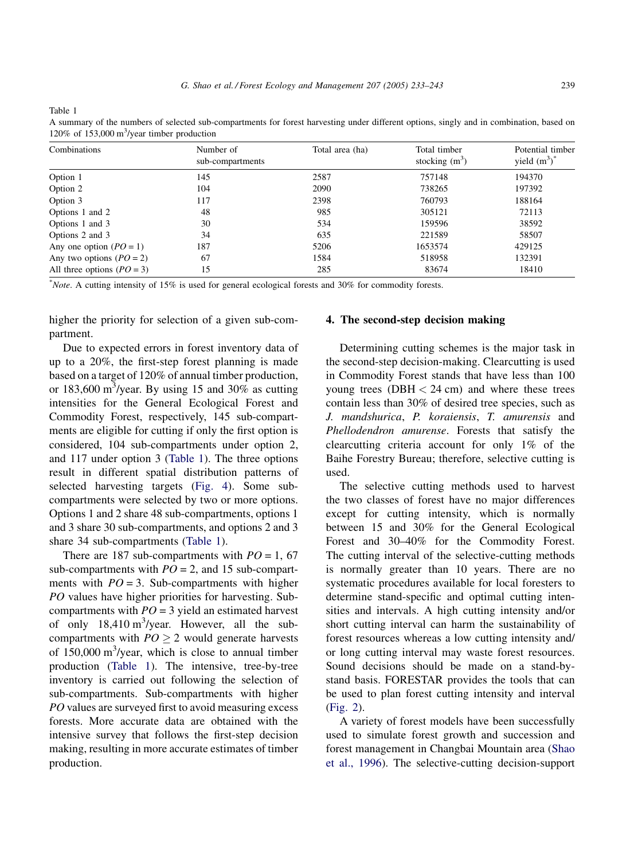<span id="page-6-0"></span>Table 1

| Combinations                 | Number of<br>sub-compartments | Total area (ha) | Total timber<br>stocking $(m^3)$ | Potential timber<br>yield $(m^3)^*$ |
|------------------------------|-------------------------------|-----------------|----------------------------------|-------------------------------------|
| Option 1                     | 145                           | 2587            | 757148                           | 194370                              |
| Option 2                     | 104                           | 2090            | 738265                           | 197392                              |
| Option 3                     | 117                           | 2398            | 760793                           | 188164                              |
| Options 1 and 2              | 48                            | 985             | 305121                           | 72113                               |
| Options 1 and 3              | 30                            | 534             | 159596                           | 38592                               |
| Options 2 and 3              | 34                            | 635             | 221589                           | 58507                               |
| Any one option $(PO = 1)$    | 187                           | 5206            | 1653574                          | 429125                              |
| Any two options $(PO = 2)$   | 67                            | 1584            | 518958                           | 132391                              |
| All three options $(PO = 3)$ | 15                            | 285             | 83674                            | 18410                               |

A summary of the numbers of selected sub-compartments for forest harvesting under different options, singly and in combination, based on 120% of 153,000  $\text{m}^3\text{/year}$  timber production

\* Note. A cutting intensity of 15% is used for general ecological forests and 30% for commodity forests.

higher the priority for selection of a given sub-compartment.

Due to expected errors in forest inventory data of up to a 20%, the first-step forest planning is made based on a target of 120% of annual timber production, or 183,600 m<sup>3</sup>/year. By using 15 and 30% as cutting intensities for the General Ecological Forest and Commodity Forest, respectively, 145 sub-compartments are eligible for cutting if only the first option is considered, 104 sub-compartments under option 2, and 117 under option 3 (Table 1). The three options result in different spatial distribution patterns of selected harvesting targets ([Fig. 4](#page-7-0)). Some subcompartments were selected by two or more options. Options 1 and 2 share 48 sub-compartments, options 1 and 3 share 30 sub-compartments, and options 2 and 3 share 34 sub-compartments (Table 1).

There are 187 sub-compartments with  $PO = 1, 67$ sub-compartments with  $PO = 2$ , and 15 sub-compartments with  $PO = 3$ . Sub-compartments with higher PO values have higher priorities for harvesting. Subcompartments with  $PO = 3$  yield an estimated harvest of only  $18,410 \text{ m}^3/\text{year}$ . However, all the subcompartments with  $PO > 2$  would generate harvests of  $150,000 \text{ m}^3$ /year, which is close to annual timber production (Table 1). The intensive, tree-by-tree inventory is carried out following the selection of sub-compartments. Sub-compartments with higher PO values are surveyed first to avoid measuring excess forests. More accurate data are obtained with the intensive survey that follows the first-step decision making, resulting in more accurate estimates of timber production.

#### 4. The second-step decision making

Determining cutting schemes is the major task in the second-step decision-making. Clearcutting is used in Commodity Forest stands that have less than 100 young trees  $(DBH < 24 \text{ cm})$  and where these trees contain less than 30% of desired tree species, such as J. mandshurica, P. koraiensis, T. amurensis and Phellodendron amurense. Forests that satisfy the clearcutting criteria account for only 1% of the Baihe Forestry Bureau; therefore, selective cutting is used.

The selective cutting methods used to harvest the two classes of forest have no major differences except for cutting intensity, which is normally between 15 and 30% for the General Ecological Forest and 30–40% for the Commodity Forest. The cutting interval of the selective-cutting methods is normally greater than 10 years. There are no systematic procedures available for local foresters to determine stand-specific and optimal cutting intensities and intervals. A high cutting intensity and/or short cutting interval can harm the sustainability of forest resources whereas a low cutting intensity and/ or long cutting interval may waste forest resources. Sound decisions should be made on a stand-bystand basis. FORESTAR provides the tools that can be used to plan forest cutting intensity and interval ([Fig. 2\)](#page-4-0).

A variety of forest models have been successfully used to simulate forest growth and succession and forest management in Changbai Mountain area ([Shao](#page-10-0) [et al., 1996\)](#page-10-0). The selective-cutting decision-support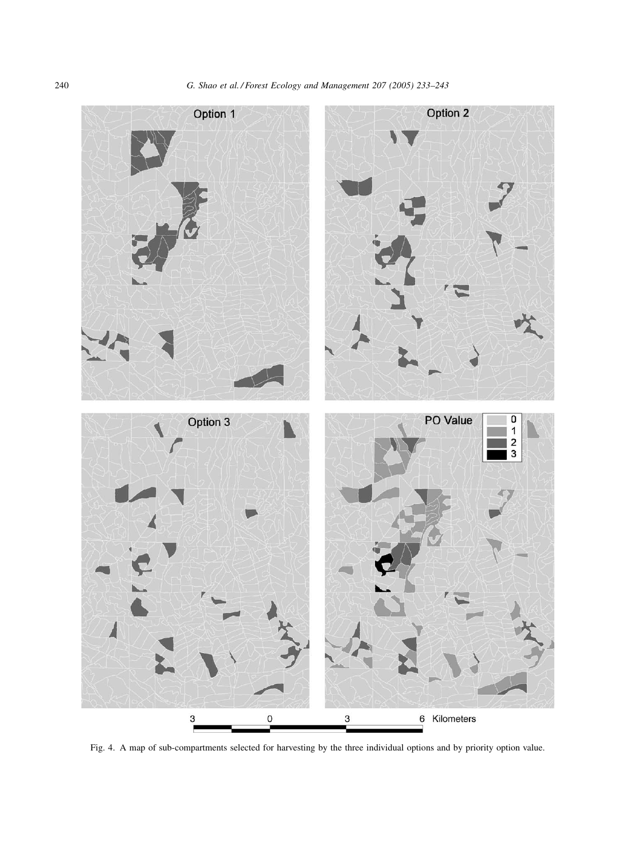<span id="page-7-0"></span>

Fig. 4. A map of sub-compartments selected for harvesting by the three individual options and by priority option value.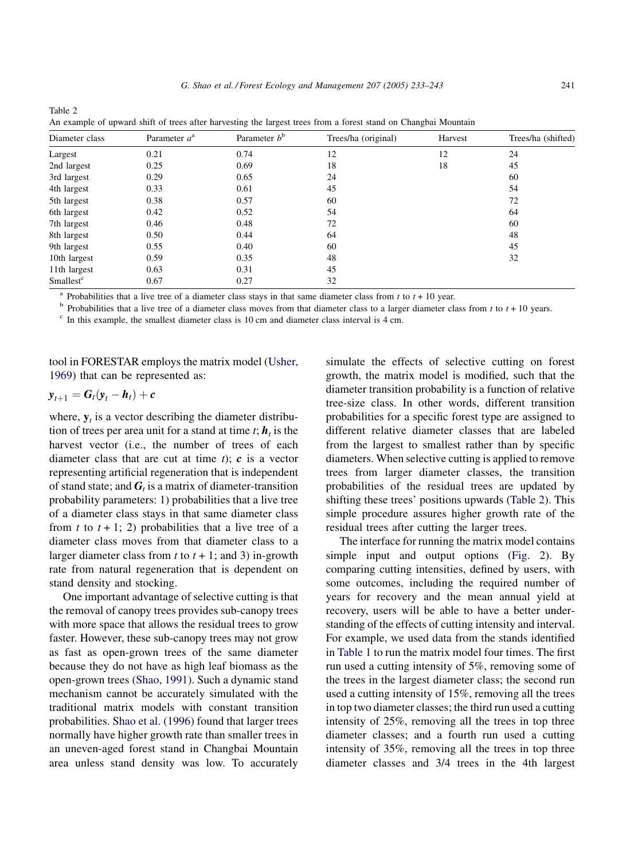| Diameter class        | Parameter $a^a$ | Parameter $b^b$ | Trees/ha (original) | Harvest | Trees/ha (shifted) |
|-----------------------|-----------------|-----------------|---------------------|---------|--------------------|
| Largest               | 0.21            | 0.74            | 12                  | 12      | 24                 |
| 2nd largest           | 0.25            | 0.69            | 18                  | 18      | 45                 |
| 3rd largest           | 0.29            | 0.65            | 24                  |         | 60                 |
| 4th largest           | 0.33            | 0.61            | 45                  |         | 54                 |
| 5th largest           | 0.38            | 0.57            | 60                  |         | 72                 |
| 6th largest           | 0.42            | 0.52            | 54                  |         | 64                 |
| 7th largest           | 0.46            | 0.48            | 72                  |         | 60                 |
| 8th largest           | 0.50            | 0.44            | 64                  |         | 48                 |
| 9th largest           | 0.55            | 0.40            | 60                  |         | 45                 |
| 10th largest          | 0.59            | 0.35            | 48                  |         | 32                 |
| 11th largest          | 0.63            | 0.31            | 45                  |         |                    |
| Smallest <sup>c</sup> | 0.67            | 0.27            | 32                  |         |                    |

<sup>a</sup> Probabilities that a live tree of a diameter class stays in that same diameter class from t to  $t + 10$  year.

An example of upward shift of trees after harvesting the largest trees from a forest stand on Changbai Mountain

<sup>b</sup> Probabilities that a live tree of a diameter class moves from that diameter class to a larger diameter class from  $t$  to  $t + 10$  years.<br><sup>c</sup> In this example, the smallest diameter class is 10 cm and diameter class inte

tool in FORESTAR employs the matrix model ([Usher,](#page-10-0) [1969](#page-10-0)) that can be represented as:

$$
\mathbf{y}_{t+1} = \mathbf{G}_t(\mathbf{y}_t - \mathbf{h}_t) + \mathbf{c}
$$

Table 2

where,  $y_t$  is a vector describing the diameter distribution of trees per area unit for a stand at time  $t$ ;  $h_t$ , is the harvest vector (*i.e.*, the number of trees of each diameter class that are cut at time  $t$ );  $c$  is a vector representing artificial regeneration that is independent of stand state; and  $G_t$  is a matrix of diameter-transition probability parameters: 1) probabilities that a live tree of a diameter class stays in that same diameter class from t to  $t + 1$ ; 2) probabilities that a live tree of a diameter class moves from that diameter class to a larger diameter class from  $t$  to  $t + 1$ ; and 3) in-growth rate from natural regeneration that is dependent on stand density and stocking.

One important advantage of selective cutting is that the removal of canopy trees provides sub-canopy trees with more space that allows the residual trees to grow faster. However, these sub-canopy trees may not grow as fast as open-grown trees of the same diameter because they do not have as high leaf biomass as the open-grown trees ([Shao, 1991](#page-10-0)). Such a dynamic stand mechanism cannot be accurately simulated with the traditional matrix models with constant transition probabilities. [Shao et al. \(1996\)](#page-10-0) found that larger trees normally have higher growth rate than smaller trees in an uneven-aged forest stand in Changbai Mountain area unless stand density was low. To accurately

simulate the effects of selective cutting on forest growth, the matrix model is modified, such that the diameter transition probability is a function of relative tree-size class. In other words, different transition probabilities for a specific forest type are assigned to different relative diameter classes that are labeled from the largest to smallest rather than by specific diameters. When selective cutting is applied to remove trees from larger diameter classes, the transition probabilities of the residual trees are updated by shifting these trees' positions upwards (Table 2). This simple procedure assures higher growth rate of the residual trees after cutting the larger trees.

The interface for running the matrix model contains simple input and output options [\(Fig. 2](#page-4-0)). By comparing cutting intensities, defined by users, with some outcomes, including the required number of years for recovery and the mean annual yield at recovery, users will be able to have a better understanding of the effects of cutting intensity and interval. For example, we used data from the stands identified in [Table 1](#page-6-0) to run the matrix model four times. The first run used a cutting intensity of 5%, removing some of the trees in the largest diameter class; the second run used a cutting intensity of 15%, removing all the trees in top two diameter classes; the third run used a cutting intensity of 25%, removing all the trees in top three diameter classes; and a fourth run used a cutting intensity of 35%, removing all the trees in top three diameter classes and 3/4 trees in the 4th largest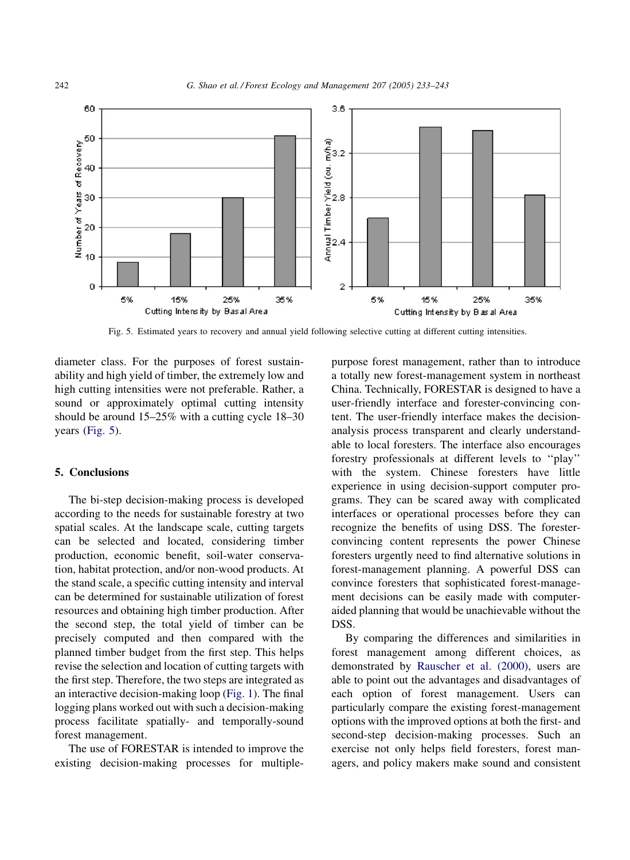

Fig. 5. Estimated years to recovery and annual yield following selective cutting at different cutting intensities.

diameter class. For the purposes of forest sustainability and high yield of timber, the extremely low and high cutting intensities were not preferable. Rather, a sound or approximately optimal cutting intensity should be around 15–25% with a cutting cycle 18–30 years (Fig. 5).

#### 5. Conclusions

The bi-step decision-making process is developed according to the needs for sustainable forestry at two spatial scales. At the landscape scale, cutting targets can be selected and located, considering timber production, economic benefit, soil-water conservation, habitat protection, and/or non-wood products. At the stand scale, a specific cutting intensity and interval can be determined for sustainable utilization of forest resources and obtaining high timber production. After the second step, the total yield of timber can be precisely computed and then compared with the planned timber budget from the first step. This helps revise the selection and location of cutting targets with the first step. Therefore, the two steps are integrated as an interactive decision-making loop ([Fig. 1\)](#page-3-0). The final logging plans worked out with such a decision-making process facilitate spatially- and temporally-sound forest management.

The use of FORESTAR is intended to improve the existing decision-making processes for multiplepurpose forest management, rather than to introduce a totally new forest-management system in northeast China. Technically, FORESTAR is designed to have a user-friendly interface and forester-convincing content. The user-friendly interface makes the decisionanalysis process transparent and clearly understandable to local foresters. The interface also encourages forestry professionals at different levels to ''play'' with the system. Chinese foresters have little experience in using decision-support computer programs. They can be scared away with complicated interfaces or operational processes before they can recognize the benefits of using DSS. The foresterconvincing content represents the power Chinese foresters urgently need to find alternative solutions in forest-management planning. A powerful DSS can convince foresters that sophisticated forest-management decisions can be easily made with computeraided planning that would be unachievable without the DSS.

By comparing the differences and similarities in forest management among different choices, as demonstrated by [Rauscher et al. \(2000\)](#page-10-0), users are able to point out the advantages and disadvantages of each option of forest management. Users can particularly compare the existing forest-management options with the improved options at both the first- and second-step decision-making processes. Such an exercise not only helps field foresters, forest managers, and policy makers make sound and consistent